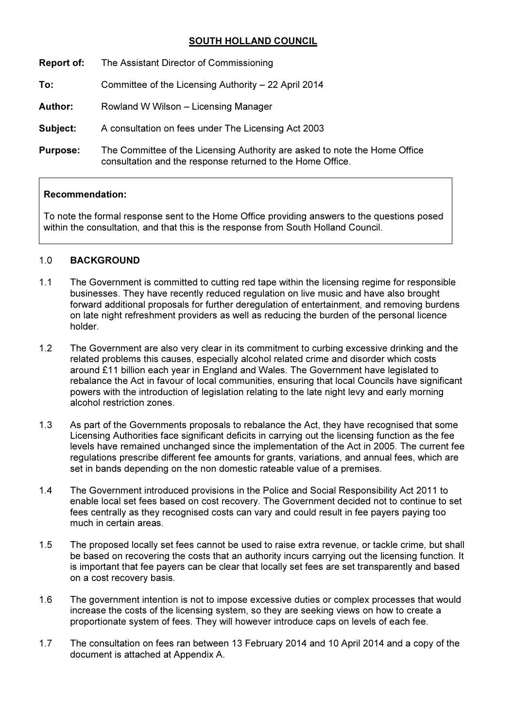# SOUTH HOLLAND COUNCIL

- Report of: The Assistant Director of Commissioning
- To: Committee of the Licensing Authority 22 April 2014
- Author: Rowland W Wilson Licensing Manager
- Subject: A consultation on fees under The Licensing Act 2003
- Purpose: The Committee of the Licensing Authority are asked to note the Home Office consultation and the response returned to the Home Office.

### Recommendation:

To note the formal response sent to the Home Office providing answers to the questions posed within the consultation, and that this is the response from South Holland Council.

### 1.0 BACKGROUND

- 1.1 The Government is committed to cutting red tape within the licensing regime for responsible businesses. They have recently reduced regulation on live music and have also brought forward additional proposals for further deregulation of entertainment, and removing burdens on late night refreshment providers as well as reducing the burden of the personal licence holder.
- 1.2 The Government are also very clear in its commitment to curbing excessive drinking and the related problems this causes, especially alcohol related crime and disorder which costs around £11 billion each year in England and Wales. The Government have legislated to rebalance the Act in favour of local communities, ensuring that local Councils have significant powers with the introduction of legislation relating to the late night levy and early morning alcohol restriction zones.
- 1.3 As part of the Governments proposals to rebalance the Act, they have recognised that some Licensing Authorities face significant deficits in carrying out the licensing function as the fee levels have remained unchanged since the implementation of the Act in 2005. The current fee regulations prescribe different fee amounts for grants, variations, and annual fees, which are set in bands depending on the non domestic rateable value of a premises.
- 1.4 The Government introduced provisions in the Police and Social Responsibility Act 2011 to enable local set fees based on cost recovery. The Government decided not to continue to set fees centrally as they recognised costs can vary and could result in fee payers paying too much in certain areas.
- 1.5 The proposed locally set fees cannot be used to raise extra revenue, or tackle crime, but shall be based on recovering the costs that an authority incurs carrying out the licensing function. It is important that fee payers can be clear that locally set fees are set transparently and based on a cost recovery basis.
- 1.6 The government intention is not to impose excessive duties or complex processes that would increase the costs of the licensing system, so they are seeking views on how to create a proportionate system of fees. They will however introduce caps on levels of each fee.
- 1.7 The consultation on fees ran between 13 February 2014 and 10 April 2014 and a copy of the document is attached at Appendix A.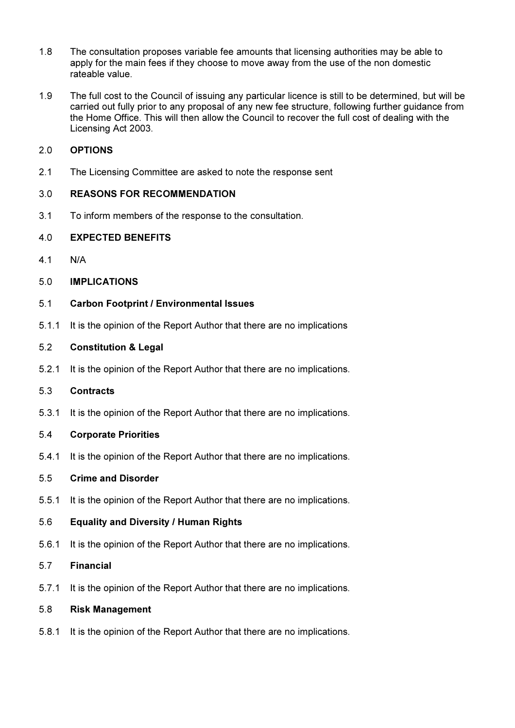- 1.8 The consultation proposes variable fee amounts that licensing authorities may be able to apply for the main fees if they choose to move away from the use of the non domestic rateable value.
- 1.9 The full cost to the Council of issuing any particular licence is still to be determined, but will be carried out fully prior to any proposal of any new fee structure, following further guidance from the Home Office. This will then allow the Council to recover the full cost of dealing with the Licensing Act 2003.

## 2.0 OPTIONS

2.1 The Licensing Committee are asked to note the response sent

## 3.0 REASONS FOR RECOMMENDATION

3.1 To inform members of the response to the consultation.

### 4.0 EXPECTED BENEFITS

4.1 N/A

### 5.0 IMPLICATIONS

- 5.1 Carbon Footprint / Environmental Issues
- 5.1.1 It is the opinion of the Report Author that there are no implications

#### 5.2 Constitution & Legal

5.2.1 It is the opinion of the Report Author that there are no implications.

#### 5.3 Contracts

5.3.1 It is the opinion of the Report Author that there are no implications.

### 5.4 Corporate Priorities

5.4.1 It is the opinion of the Report Author that there are no implications.

### 5.5 Crime and Disorder

5.5.1 It is the opinion of the Report Author that there are no implications.

### 5.6 Equality and Diversity / Human Rights

5.6.1 It is the opinion of the Report Author that there are no implications.

#### 5.7 Financial

5.7.1 It is the opinion of the Report Author that there are no implications.

## 5.8 Risk Management

5.8.1 It is the opinion of the Report Author that there are no implications.